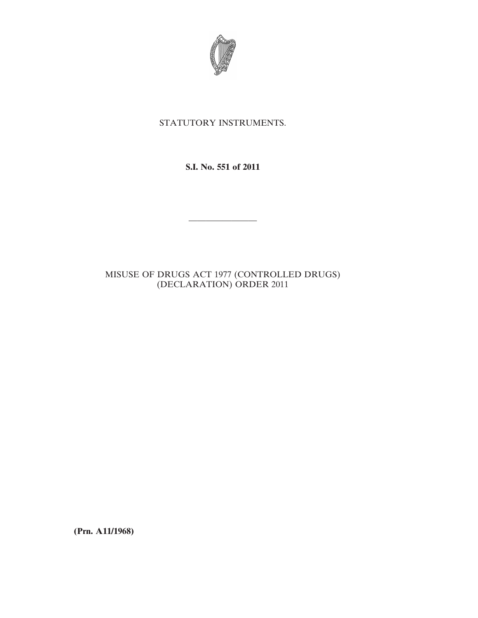

## STATUTORY INSTRUMENTS.

**S.I. No. 551 of 2011**

————————

# MISUSE OF DRUGS ACT 1977 (CONTROLLED DRUGS) (DECLARATION) ORDER 2011

**(Prn. A11/1968)**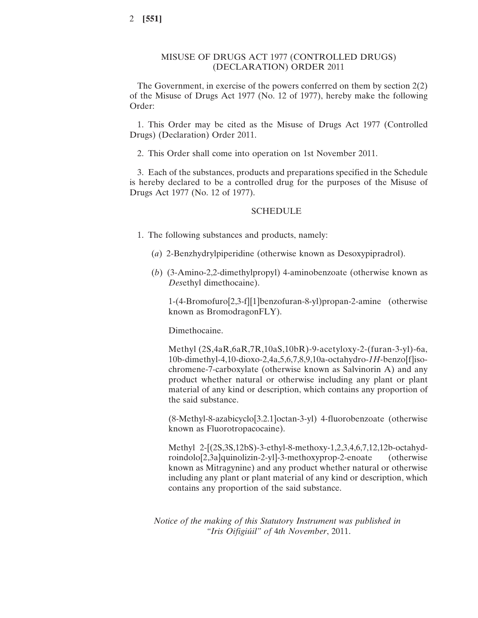#### MISUSE OF DRUGS ACT 1977 (CONTROLLED DRUGS) (DECLARATION) ORDER 2011

The Government, in exercise of the powers conferred on them by section 2(2) of the Misuse of Drugs Act 1977 (No. 12 of 1977), hereby make the following Order:

1. This Order may be cited as the Misuse of Drugs Act 1977 (Controlled Drugs) (Declaration) Order 2011.

2. This Order shall come into operation on 1st November 2011.

3. Each of the substances, products and preparations specified in the Schedule is hereby declared to be a controlled drug for the purposes of the Misuse of Drugs Act 1977 (No. 12 of 1977).

#### SCHEDULE

1. The following substances and products, namely:

- (*a*) 2-Benzhydrylpiperidine (otherwise known as Desoxypipradrol).
- (*b*) (3-Amino-2,2-dimethylpropyl) 4-aminobenzoate (otherwise known as *Des*ethyl dimethocaine).

1-(4-Bromofuro[2,3-f][1]benzofuran-8-yl)propan-2-amine (otherwise known as BromodragonFLY).

Dimethocaine.

Methyl (2S,4aR,6aR,7R,10aS,10bR)-9-acetyloxy-2-(furan-3-yl)-6a, 10b-dimethyl-4,10-dioxo-2,4a,5,6,7,8,9,10a-octahydro-*1H*-benzo[f]isochromene-7-carboxylate (otherwise known as Salvinorin A) and any product whether natural or otherwise including any plant or plant material of any kind or description, which contains any proportion of the said substance.

(8-Methyl-8-azabicyclo[3.2.1]octan-3-yl) 4-fluorobenzoate (otherwise known as Fluorotropacocaine).

Methyl 2-[(2S,3S,12bS)-3-ethyl-8-methoxy-1,2,3,4,6,7,12,12b-octahydroindolo[2,3a]quinolizin-2-yl]-3-methoxyprop-2-enoate (otherwise known as Mitragynine) and any product whether natural or otherwise including any plant or plant material of any kind or description, which contains any proportion of the said substance.

*Notice of the making of this Statutory Instrument was published in "Iris Oifigiúil" of* 4*th November*, 2011.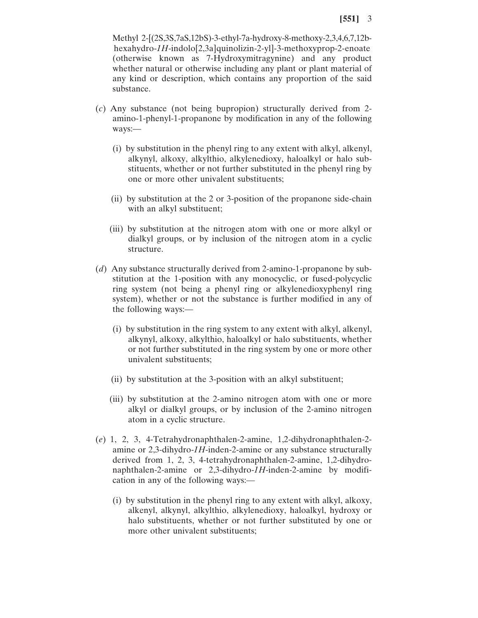Methyl 2-[(2S,3S,7aS,12bS)-3-ethyl-7a-hydroxy-8-methoxy-2,3,4,6,7,12bhexahydro-*1H*-indolo[2,3a]quinolizin-2-yl]-3-methoxyprop-2-enoate (otherwise known as 7-Hydroxymitragynine) and any product whether natural or otherwise including any plant or plant material of any kind or description, which contains any proportion of the said substance.

- (*c*) Any substance (not being bupropion) structurally derived from 2 amino-1-phenyl-1-propanone by modification in any of the following ways:—
	- (i) by substitution in the phenyl ring to any extent with alkyl, alkenyl, alkynyl, alkoxy, alkylthio, alkylenedioxy, haloalkyl or halo substituents, whether or not further substituted in the phenyl ring by one or more other univalent substituents;
	- (ii) by substitution at the 2 or 3-position of the propanone side-chain with an alkyl substituent;
	- (iii) by substitution at the nitrogen atom with one or more alkyl or dialkyl groups, or by inclusion of the nitrogen atom in a cyclic structure.
- (*d*) Any substance structurally derived from 2-amino-1-propanone by substitution at the 1-position with any monocyclic, or fused-polycyclic ring system (not being a phenyl ring or alkylenedioxyphenyl ring system), whether or not the substance is further modified in any of the following ways:—
	- (i) by substitution in the ring system to any extent with alkyl, alkenyl, alkynyl, alkoxy, alkylthio, haloalkyl or halo substituents, whether or not further substituted in the ring system by one or more other univalent substituents;
	- (ii) by substitution at the 3-position with an alkyl substituent;
	- (iii) by substitution at the 2-amino nitrogen atom with one or more alkyl or dialkyl groups, or by inclusion of the 2-amino nitrogen atom in a cyclic structure.
- (*e*) 1, 2, 3, 4-Tetrahydronaphthalen-2-amine, 1,2-dihydronaphthalen-2 amine or 2,3-dihydro-*1H*-inden-2-amine or any substance structurally derived from 1, 2, 3, 4-tetrahydronaphthalen-2-amine, 1,2-dihydronaphthalen-2-amine or 2,3-dihydro-*1H*-inden-2-amine by modification in any of the following ways:—
	- (i) by substitution in the phenyl ring to any extent with alkyl, alkoxy, alkenyl, alkynyl, alkylthio, alkylenedioxy, haloalkyl, hydroxy or halo substituents, whether or not further substituted by one or more other univalent substituents;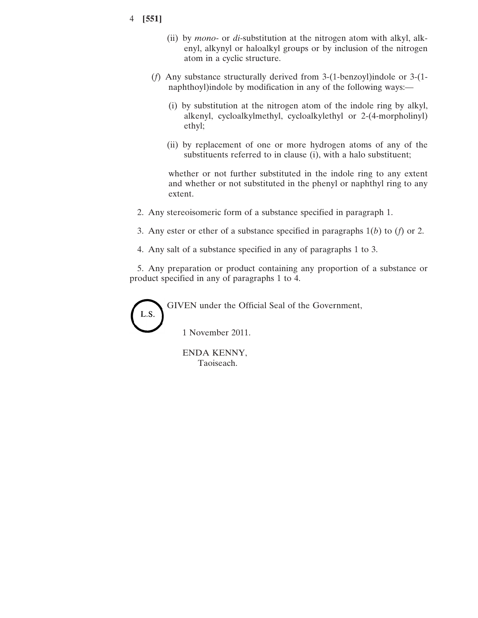- 4 **[551]**
- (ii) by *mono* or *di*-substitution at the nitrogen atom with alkyl, alkenyl, alkynyl or haloalkyl groups or by inclusion of the nitrogen atom in a cyclic structure.
- (*f*) Any substance structurally derived from 3-(1-benzoyl)indole or 3-(1 naphthoyl)indole by modification in any of the following ways:—
	- (i) by substitution at the nitrogen atom of the indole ring by alkyl, alkenyl, cycloalkylmethyl, cycloalkylethyl or 2-(4-morpholinyl) ethyl;
	- (ii) by replacement of one or more hydrogen atoms of any of the substituents referred to in clause (i), with a halo substituent;

whether or not further substituted in the indole ring to any extent and whether or not substituted in the phenyl or naphthyl ring to any extent.

- 2. Any stereoisomeric form of a substance specified in paragraph 1.
- 3. Any ester or ether of a substance specified in paragraphs 1(*b*) to (*f*) or 2.
- 4. Any salt of a substance specified in any of paragraphs 1 to 3.

5. Any preparation or product containing any proportion of a substance or product specified in any of paragraphs 1 to 4.

GIVEN under the Official Seal of the Government,

L.S.

1 November 2011.

ENDA KENNY, Taoiseach.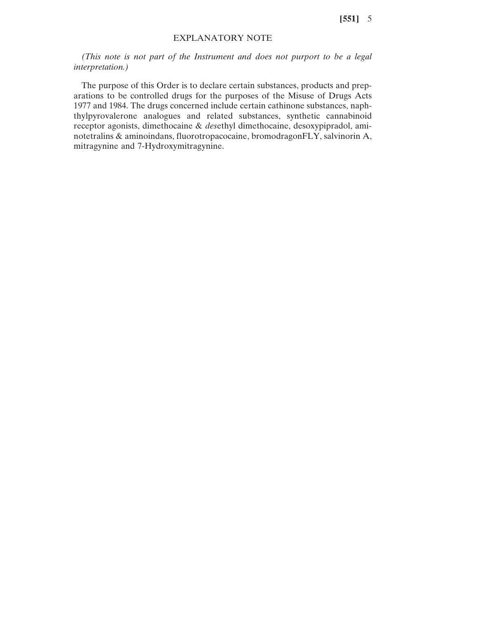**[551]** 5

### EXPLANATORY NOTE

*(This note is not part of the Instrument and does not purport to be a legal interpretation.)*

The purpose of this Order is to declare certain substances, products and preparations to be controlled drugs for the purposes of the Misuse of Drugs Acts 1977 and 1984. The drugs concerned include certain cathinone substances, naphthylpyrovalerone analogues and related substances, synthetic cannabinoid receptor agonists, dimethocaine & *des*ethyl dimethocaine, desoxypipradol, aminotetralins & aminoindans, fluorotropacocaine, bromodragonFLY, salvinorin A, mitragynine and 7-Hydroxymitragynine.